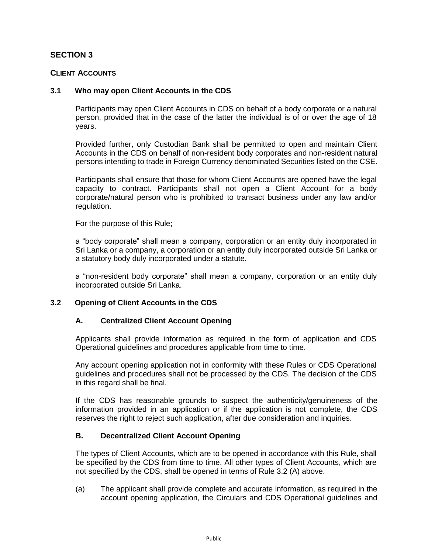# **SECTION 3**

### **CLIENT ACCOUNTS**

### **3.1 Who may open Client Accounts in the CDS**

Participants may open Client Accounts in CDS on behalf of a body corporate or a natural person, provided that in the case of the latter the individual is of or over the age of 18 years.

Provided further, only Custodian Bank shall be permitted to open and maintain Client Accounts in the CDS on behalf of non-resident body corporates and non-resident natural persons intending to trade in Foreign Currency denominated Securities listed on the CSE.

Participants shall ensure that those for whom Client Accounts are opened have the legal capacity to contract. Participants shall not open a Client Account for a body corporate/natural person who is prohibited to transact business under any law and/or regulation.

For the purpose of this Rule;

a "body corporate" shall mean a company, corporation or an entity duly incorporated in Sri Lanka or a company, a corporation or an entity duly incorporated outside Sri Lanka or a statutory body duly incorporated under a statute.

a "non-resident body corporate" shall mean a company, corporation or an entity duly incorporated outside Sri Lanka.

### **3.2 Opening of Client Accounts in the CDS**

### **A. Centralized Client Account Opening**

Applicants shall provide information as required in the form of application and CDS Operational guidelines and procedures applicable from time to time.

Any account opening application not in conformity with these Rules or CDS Operational guidelines and procedures shall not be processed by the CDS. The decision of the CDS in this regard shall be final.

If the CDS has reasonable grounds to suspect the authenticity/genuineness of the information provided in an application or if the application is not complete, the CDS reserves the right to reject such application, after due consideration and inquiries.

### **B. Decentralized Client Account Opening**

The types of Client Accounts, which are to be opened in accordance with this Rule, shall be specified by the CDS from time to time. All other types of Client Accounts, which are not specified by the CDS, shall be opened in terms of Rule 3.2 (A) above.

(a) The applicant shall provide complete and accurate information, as required in the account opening application, the Circulars and CDS Operational guidelines and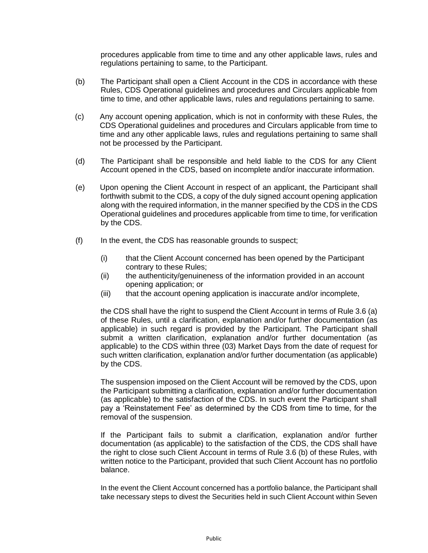procedures applicable from time to time and any other applicable laws, rules and regulations pertaining to same, to the Participant.

- (b) The Participant shall open a Client Account in the CDS in accordance with these Rules, CDS Operational guidelines and procedures and Circulars applicable from time to time, and other applicable laws, rules and regulations pertaining to same.
- (c) Any account opening application, which is not in conformity with these Rules, the CDS Operational guidelines and procedures and Circulars applicable from time to time and any other applicable laws, rules and regulations pertaining to same shall not be processed by the Participant.
- (d) The Participant shall be responsible and held liable to the CDS for any Client Account opened in the CDS, based on incomplete and/or inaccurate information.
- (e) Upon opening the Client Account in respect of an applicant, the Participant shall forthwith submit to the CDS, a copy of the duly signed account opening application along with the required information, in the manner specified by the CDS in the CDS Operational guidelines and procedures applicable from time to time, for verification by the CDS.
- $(f)$  In the event, the CDS has reasonable grounds to suspect;
	- (i) that the Client Account concerned has been opened by the Participant contrary to these Rules;
	- (ii) the authenticity/genuineness of the information provided in an account opening application; or
	- (iii) that the account opening application is inaccurate and/or incomplete,

the CDS shall have the right to suspend the Client Account in terms of Rule 3.6 (a) of these Rules, until a clarification, explanation and/or further documentation (as applicable) in such regard is provided by the Participant. The Participant shall submit a written clarification, explanation and/or further documentation (as applicable) to the CDS within three (03) Market Days from the date of request for such written clarification, explanation and/or further documentation (as applicable) by the CDS.

The suspension imposed on the Client Account will be removed by the CDS, upon the Participant submitting a clarification, explanation and/or further documentation (as applicable) to the satisfaction of the CDS. In such event the Participant shall pay a 'Reinstatement Fee' as determined by the CDS from time to time, for the removal of the suspension.

If the Participant fails to submit a clarification, explanation and/or further documentation (as applicable) to the satisfaction of the CDS, the CDS shall have the right to close such Client Account in terms of Rule 3.6 (b) of these Rules, with written notice to the Participant, provided that such Client Account has no portfolio balance.

In the event the Client Account concerned has a portfolio balance, the Participant shall take necessary steps to divest the Securities held in such Client Account within Seven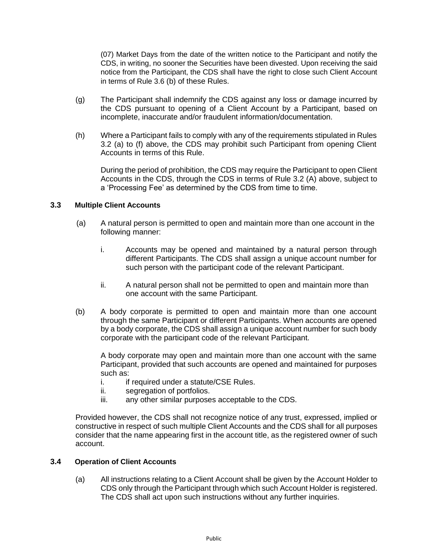(07) Market Days from the date of the written notice to the Participant and notify the CDS, in writing, no sooner the Securities have been divested. Upon receiving the said notice from the Participant, the CDS shall have the right to close such Client Account in terms of Rule 3.6 (b) of these Rules.

- (g) The Participant shall indemnify the CDS against any loss or damage incurred by the CDS pursuant to opening of a Client Account by a Participant, based on incomplete, inaccurate and/or fraudulent information/documentation.
- (h) Where a Participant fails to comply with any of the requirements stipulated in Rules 3.2 (a) to (f) above, the CDS may prohibit such Participant from opening Client Accounts in terms of this Rule.

During the period of prohibition, the CDS may require the Participant to open Client Accounts in the CDS, through the CDS in terms of Rule 3.2 (A) above, subject to a 'Processing Fee' as determined by the CDS from time to time.

## **3.3 Multiple Client Accounts**

- (a) A natural person is permitted to open and maintain more than one account in the following manner:
	- i. Accounts may be opened and maintained by a natural person through different Participants. The CDS shall assign a unique account number for such person with the participant code of the relevant Participant.
	- ii. A natural person shall not be permitted to open and maintain more than one account with the same Participant.
- (b) A body corporate is permitted to open and maintain more than one account through the same Participant or different Participants. When accounts are opened by a body corporate, the CDS shall assign a unique account number for such body corporate with the participant code of the relevant Participant.

A body corporate may open and maintain more than one account with the same Participant, provided that such accounts are opened and maintained for purposes such as:

- i. if required under a statute/CSE Rules.
- ii. segregation of portfolios.
- iii. any other similar purposes acceptable to the CDS.

Provided however, the CDS shall not recognize notice of any trust, expressed, implied or constructive in respect of such multiple Client Accounts and the CDS shall for all purposes consider that the name appearing first in the account title, as the registered owner of such account.

## **3.4 Operation of Client Accounts**

(a) All instructions relating to a Client Account shall be given by the Account Holder to CDS only through the Participant through which such Account Holder is registered. The CDS shall act upon such instructions without any further inquiries.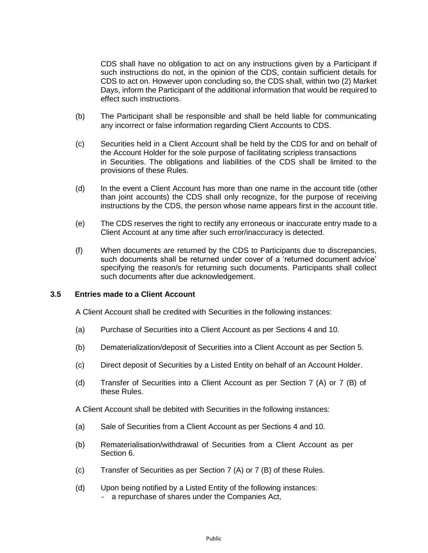CDS shall have no obligation to act on any instructions given by a Participant if such instructions do not, in the opinion of the CDS, contain sufficient details for CDS to act on. However upon concluding so, the CDS shall, within two (2) Market Days, inform the Participant of the additional information that would be required to effect such instructions.

- (b) The Participant shall be responsible and shall be held liable for communicating any incorrect or false information regarding Client Accounts to CDS.
- (c) Securities held in a Client Account shall be held by the CDS for and on behalf of the Account Holder for the sole purpose of facilitating scripless transactions in Securities. The obligations and liabilities of the CDS shall be limited to the provisions of these Rules.
- (d) In the event a Client Account has more than one name in the account title (other than joint accounts) the CDS shall only recognize, for the purpose of receiving instructions by the CDS, the person whose name appears first in the account title.
- (e) The CDS reserves the right to rectify any erroneous or inaccurate entry made to a Client Account at any time after such error/inaccuracy is detected.
- (f) When documents are returned by the CDS to Participants due to discrepancies, such documents shall be returned under cover of a 'returned document advice' specifying the reason/s for returning such documents. Participants shall collect such documents after due acknowledgement.

### **3.5 Entries made to a Client Account**

A Client Account shall be credited with Securities in the following instances:

- (a) Purchase of Securities into a Client Account as per Sections 4 and 10.
- (b) Dematerialization/deposit of Securities into a Client Account as per Section 5.
- (c) Direct deposit of Securities by a Listed Entity on behalf of an Account Holder.
- (d) Transfer of Securities into a Client Account as per Section 7 (A) or 7 (B) of these Rules.

A Client Account shall be debited with Securities in the following instances:

- (a) Sale of Securities from a Client Account as per Sections 4 and 10.
- (b) Rematerialisation/withdrawal of Securities from a Client Account as per Section 6.
- (c) Transfer of Securities as per Section 7 (A) or 7 (B) of these Rules.
- (d) Upon being notified by a Listed Entity of the following instances: - a repurchase of shares under the Companies Act,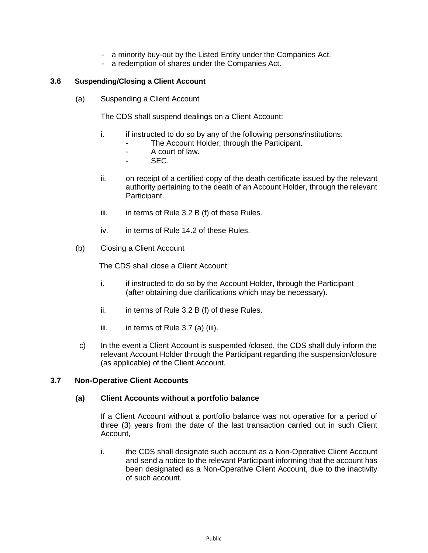- a minority buy-out by the Listed Entity under the Companies Act,
- a redemption of shares under the Companies Act.

## **3.6 Suspending/Closing a Client Account**

(a) Suspending a Client Account

The CDS shall suspend dealings on a Client Account:

- i. if instructed to do so by any of the following persons/institutions:
	- The Account Holder, through the Participant.
	- A court of law.
	- SEC.
- ii. on receipt of a certified copy of the death certificate issued by the relevant authority pertaining to the death of an Account Holder, through the relevant Participant.
- iii.  $\quad$  in terms of Rule 3.2 B (f) of these Rules.
- iv. in terms of Rule 14.2 of these Rules.
- (b) Closing a Client Account

The CDS shall close a Client Account;

- i. if instructed to do so by the Account Holder, through the Participant (after obtaining due clarifications which may be necessary).
- ii.  $\quad$  in terms of Rule 3.2 B (f) of these Rules.
- iii. in terms of Rule 3.7 (a) (iii).
- c) In the event a Client Account is suspended /closed, the CDS shall duly inform the relevant Account Holder through the Participant regarding the suspension/closure (as applicable) of the Client Account.

## **3.7 Non-Operative Client Accounts**

### **(a) Client Accounts without a portfolio balance**

If a Client Account without a portfolio balance was not operative for a period of three (3) years from the date of the last transaction carried out in such Client Account,

i. the CDS shall designate such account as a Non-Operative Client Account and send a notice to the relevant Participant informing that the account has been designated as a Non-Operative Client Account, due to the inactivity of such account.